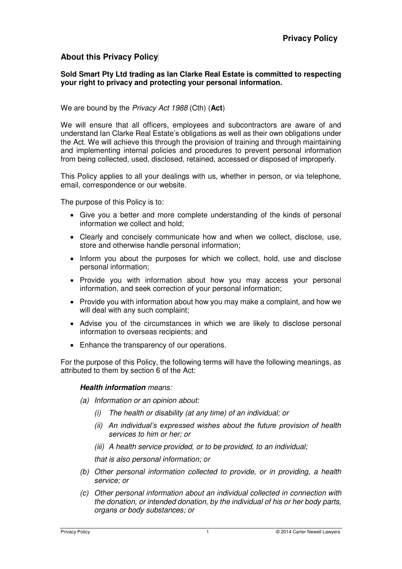## **About this Privacy Policy**

#### **Sold Smart Pty Ltd trading as Ian Clarke Real Estate is committed to respecting your right to privacy and protecting your personal information.**

#### We are bound by the *Privacy Act 1988* (Cth) (**Act**)

We will ensure that all officers, employees and subcontractors are aware of and understand Ian Clarke Real Estate's obligations as well as their own obligations under the Act. We will achieve this through the provision of training and through maintaining and implementing internal policies and procedures to prevent personal information from being collected, used, disclosed, retained, accessed or disposed of improperly.

This Policy applies to all your dealings with us, whether in person, or via telephone, email, correspondence or our website.

The purpose of this Policy is to:

- Give you a better and more complete understanding of the kinds of personal information we collect and hold;
- Clearly and concisely communicate how and when we collect, disclose, use, store and otherwise handle personal information;
- Inform you about the purposes for which we collect, hold, use and disclose personal information;
- Provide you with information about how you may access your personal information, and seek correction of your personal information;
- Provide you with information about how you may make a complaint, and how we will deal with any such complaint;
- Advise you of the circumstances in which we are likely to disclose personal information to overseas recipients; and
- Enhance the transparency of our operations.

For the purpose of this Policy, the following terms will have the following meanings, as attributed to them by section 6 of the Act:

#### **Health information** *means:*

- *(a) Information or an opinion about:* 
	- *(i) The health or disability (at any time) of an individual; or*
	- *(ii) An individual's expressed wishes about the future provision of health services to him or her; or*
	- *(iii) A health service provided, or to be provided, to an individual;*

*that is also personal information; or* 

- *(b) Other personal information collected to provide, or in providing, a health service; or*
- *(c) Other personal information about an individual collected in connection with the donation, or intended donation, by the individual of his or her body parts, organs or body substances; or*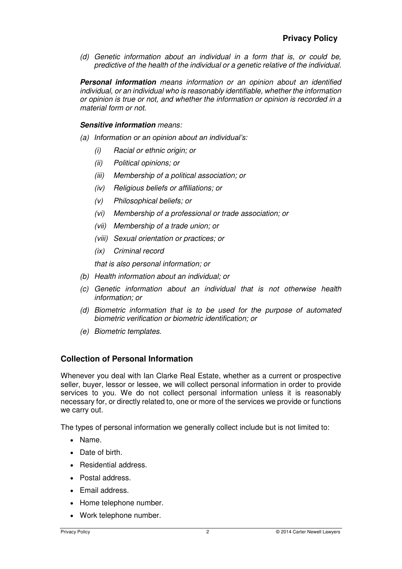*(d) Genetic information about an individual in a form that is, or could be, predictive of the health of the individual or a genetic relative of the individual.*

**Personal information** *means information or an opinion about an identified individual, or an individual who is reasonably identifiable, whether the information or opinion is true or not, and whether the information or opinion is recorded in a material form or not.* 

#### **Sensitive information** *means:*

- *(a) Information or an opinion about an individual's:*
	- *(i) Racial or ethnic origin; or*
	- *(ii) Political opinions; or*
	- *(iii) Membership of a political association; or*
	- *(iv) Religious beliefs or affiliations; or*
	- *(v) Philosophical beliefs; or*
	- *(vi) Membership of a professional or trade association; or*
	- *(vii) Membership of a trade union; or*
	- *(viii) Sexual orientation or practices; or*
	- *(ix) Criminal record*

*that is also personal information; or* 

- *(b) Health information about an individual; or*
- *(c) Genetic information about an individual that is not otherwise health information; or*
- *(d) Biometric information that is to be used for the purpose of automated biometric verification or biometric identification; or*
- *(e) Biometric templates.*

### **Collection of Personal Information**

Whenever you deal with Ian Clarke Real Estate, whether as a current or prospective seller, buyer, lessor or lessee, we will collect personal information in order to provide services to you. We do not collect personal information unless it is reasonably necessary for, or directly related to, one or more of the services we provide or functions we carry out.

The types of personal information we generally collect include but is not limited to:

- Name.
- Date of birth.
- Residential address.
- Postal address.
- Email address.
- Home telephone number.
- Work telephone number.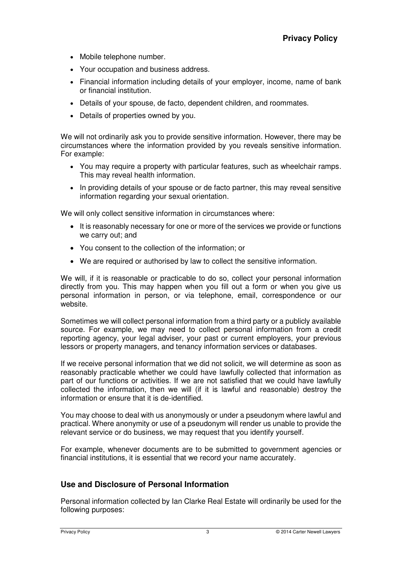- Mobile telephone number.
- Your occupation and business address.
- Financial information including details of your employer, income, name of bank or financial institution.
- Details of your spouse, de facto, dependent children, and roommates.
- Details of properties owned by you.

We will not ordinarily ask you to provide sensitive information. However, there may be circumstances where the information provided by you reveals sensitive information. For example:

- You may require a property with particular features, such as wheelchair ramps. This may reveal health information.
- In providing details of your spouse or de facto partner, this may reveal sensitive information regarding your sexual orientation.

We will only collect sensitive information in circumstances where:

- It is reasonably necessary for one or more of the services we provide or functions we carry out; and
- You consent to the collection of the information; or
- We are required or authorised by law to collect the sensitive information.

We will, if it is reasonable or practicable to do so, collect your personal information directly from you. This may happen when you fill out a form or when you give us personal information in person, or via telephone, email, correspondence or our website.

Sometimes we will collect personal information from a third party or a publicly available source. For example, we may need to collect personal information from a credit reporting agency, your legal adviser, your past or current employers, your previous lessors or property managers, and tenancy information services or databases.

If we receive personal information that we did not solicit, we will determine as soon as reasonably practicable whether we could have lawfully collected that information as part of our functions or activities. If we are not satisfied that we could have lawfully collected the information, then we will (if it is lawful and reasonable) destroy the information or ensure that it is de-identified.

You may choose to deal with us anonymously or under a pseudonym where lawful and practical. Where anonymity or use of a pseudonym will render us unable to provide the relevant service or do business, we may request that you identify yourself.

For example, whenever documents are to be submitted to government agencies or financial institutions, it is essential that we record your name accurately.

## **Use and Disclosure of Personal Information**

Personal information collected by Ian Clarke Real Estate will ordinarily be used for the following purposes: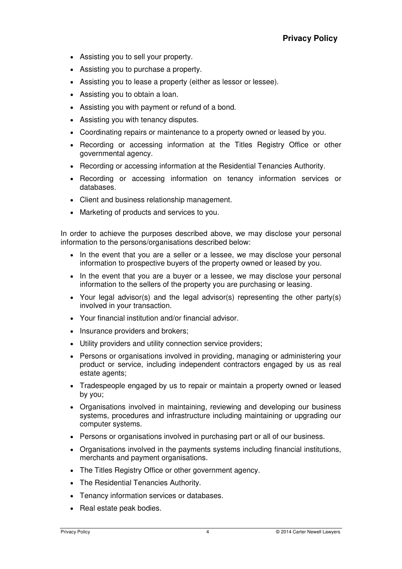- Assisting you to sell your property.
- Assisting you to purchase a property.
- Assisting you to lease a property (either as lessor or lessee).
- Assisting you to obtain a loan.
- Assisting you with payment or refund of a bond.
- Assisting you with tenancy disputes.
- Coordinating repairs or maintenance to a property owned or leased by you.
- Recording or accessing information at the Titles Registry Office or other governmental agency.
- Recording or accessing information at the Residential Tenancies Authority.
- Recording or accessing information on tenancy information services or databases.
- Client and business relationship management.
- Marketing of products and services to you.

In order to achieve the purposes described above, we may disclose your personal information to the persons/organisations described below:

- In the event that you are a seller or a lessee, we may disclose your personal information to prospective buyers of the property owned or leased by you.
- In the event that you are a buyer or a lessee, we may disclose your personal information to the sellers of the property you are purchasing or leasing.
- Your legal advisor(s) and the legal advisor(s) representing the other party(s) involved in your transaction.
- Your financial institution and/or financial advisor.
- Insurance providers and brokers;
- Utility providers and utility connection service providers;
- Persons or organisations involved in providing, managing or administering your product or service, including independent contractors engaged by us as real estate agents;
- Tradespeople engaged by us to repair or maintain a property owned or leased by you;
- Organisations involved in maintaining, reviewing and developing our business systems, procedures and infrastructure including maintaining or upgrading our computer systems.
- Persons or organisations involved in purchasing part or all of our business.
- Organisations involved in the payments systems including financial institutions, merchants and payment organisations.
- The Titles Registry Office or other government agency.
- The Residential Tenancies Authority.
- Tenancy information services or databases.
- Real estate peak bodies.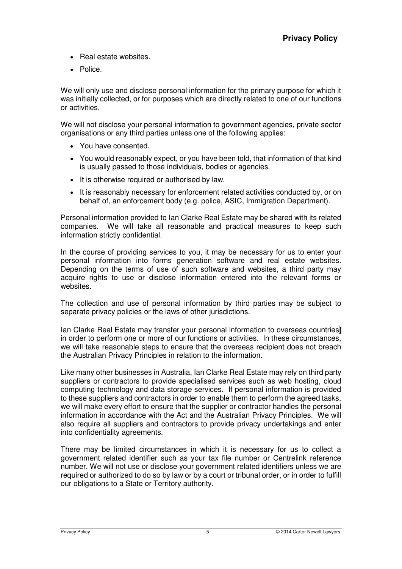- Real estate websites.
- Police.

We will only use and disclose personal information for the primary purpose for which it was initially collected, or for purposes which are directly related to one of our functions or activities.

We will not disclose your personal information to government agencies, private sector organisations or any third parties unless one of the following applies:

- You have consented.
- You would reasonably expect, or you have been told, that information of that kind is usually passed to those individuals, bodies or agencies.
- It is otherwise required or authorised by law.
- It is reasonably necessary for enforcement related activities conducted by, or on behalf of, an enforcement body (e.g. police, ASIC, Immigration Department).

Personal information provided to Ian Clarke Real Estate may be shared with its related companies. We will take all reasonable and practical measures to keep such information strictly confidential.

In the course of providing services to you, it may be necessary for us to enter your personal information into forms generation software and real estate websites. Depending on the terms of use of such software and websites, a third party may acquire rights to use or disclose information entered into the relevant forms or websites.

The collection and use of personal information by third parties may be subject to separate privacy policies or the laws of other jurisdictions.

Ian Clarke Real Estate may transfer your personal information to overseas countries] in order to perform one or more of our functions or activities. In these circumstances, we will take reasonable steps to ensure that the overseas recipient does not breach the Australian Privacy Principles in relation to the information.

Like many other businesses in Australia, Ian Clarke Real Estate may rely on third party suppliers or contractors to provide specialised services such as web hosting, cloud computing technology and data storage services. If personal information is provided to these suppliers and contractors in order to enable them to perform the agreed tasks, we will make every effort to ensure that the supplier or contractor handles the personal information in accordance with the Act and the Australian Privacy Principles. We will also require all suppliers and contractors to provide privacy undertakings and enter into confidentiality agreements.

There may be limited circumstances in which it is necessary for us to collect a government related identifier such as your tax file number or Centrelink reference number. We will not use or disclose your government related identifiers unless we are required or authorized to do so by law or by a court or tribunal order, or in order to fulfill our obligations to a State or Territory authority.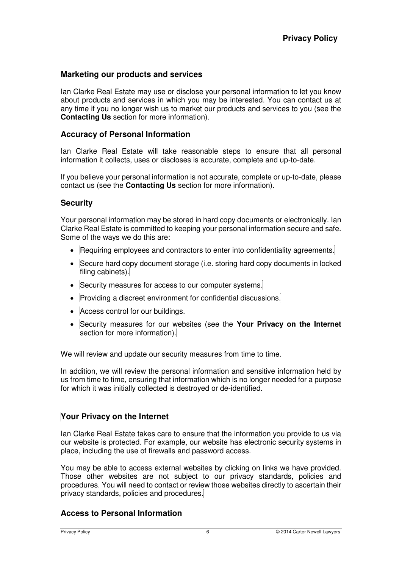## **Marketing our products and services**

Ian Clarke Real Estate may use or disclose your personal information to let you know about products and services in which you may be interested. You can contact us at any time if you no longer wish us to market our products and services to you (see the **Contacting Us** section for more information).

## **Accuracy of Personal Information**

Ian Clarke Real Estate will take reasonable steps to ensure that all personal information it collects, uses or discloses is accurate, complete and up-to-date.

If you believe your personal information is not accurate, complete or up-to-date, please contact us (see the **Contacting Us** section for more information).

## **Security**

Your personal information may be stored in hard copy documents or electronically. Ian Clarke Real Estate is committed to keeping your personal information secure and safe. Some of the ways we do this are:

- Requiring employees and contractors to enter into confidentiality agreements.
- Secure hard copy document storage (i.e. storing hard copy documents in locked filing cabinets).
- Security measures for access to our computer systems.
- Providing a discreet environment for confidential discussions.
- Access control for our buildings.
- Security measures for our websites (see the **Your Privacy on the Internet**  section for more information).

We will review and update our security measures from time to time.

In addition, we will review the personal information and sensitive information held by us from time to time, ensuring that information which is no longer needed for a purpose for which it was initially collected is destroyed or de-identified.

## **Your Privacy on the Internet**

Ian Clarke Real Estate takes care to ensure that the information you provide to us via our website is protected. For example, our website has electronic security systems in place, including the use of firewalls and password access.

You may be able to access external websites by clicking on links we have provided. Those other websites are not subject to our privacy standards, policies and procedures. You will need to contact or review those websites directly to ascertain their privacy standards, policies and procedures.

### **Access to Personal Information**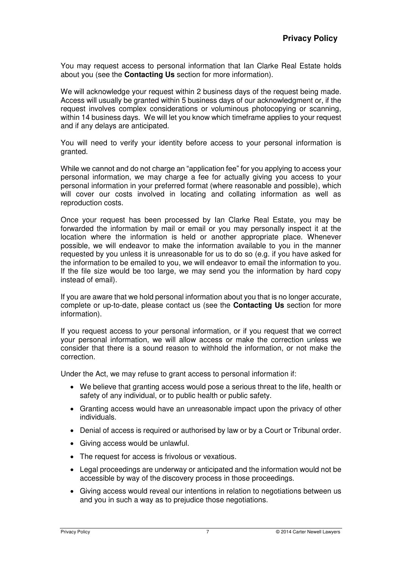You may request access to personal information that Ian Clarke Real Estate holds about you (see the **Contacting Us** section for more information).

We will acknowledge your request within 2 business days of the request being made. Access will usually be granted within 5 business days of our acknowledgment or, if the request involves complex considerations or voluminous photocopying or scanning, within 14 business days. We will let you know which timeframe applies to your request and if any delays are anticipated.

You will need to verify your identity before access to your personal information is granted.

While we cannot and do not charge an "application fee" for you applying to access your personal information, we may charge a fee for actually giving you access to your personal information in your preferred format (where reasonable and possible), which will cover our costs involved in locating and collating information as well as reproduction costs.

Once your request has been processed by Ian Clarke Real Estate, you may be forwarded the information by mail or email or you may personally inspect it at the location where the information is held or another appropriate place. Whenever possible, we will endeavor to make the information available to you in the manner requested by you unless it is unreasonable for us to do so (e.g. if you have asked for the information to be emailed to you, we will endeavor to email the information to you. If the file size would be too large, we may send you the information by hard copy instead of email).

If you are aware that we hold personal information about you that is no longer accurate, complete or up-to-date, please contact us (see the **Contacting Us** section for more information).

If you request access to your personal information, or if you request that we correct your personal information, we will allow access or make the correction unless we consider that there is a sound reason to withhold the information, or not make the correction.

Under the Act, we may refuse to grant access to personal information if:

- We believe that granting access would pose a serious threat to the life, health or safety of any individual, or to public health or public safety.
- Granting access would have an unreasonable impact upon the privacy of other individuals.
- Denial of access is required or authorised by law or by a Court or Tribunal order.
- Giving access would be unlawful.
- The request for access is frivolous or vexatious.
- Legal proceedings are underway or anticipated and the information would not be accessible by way of the discovery process in those proceedings.
- Giving access would reveal our intentions in relation to negotiations between us and you in such a way as to prejudice those negotiations.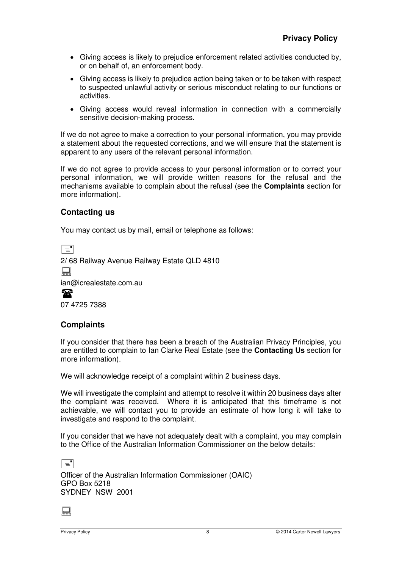- Giving access is likely to prejudice enforcement related activities conducted by, or on behalf of, an enforcement body.
- Giving access is likely to prejudice action being taken or to be taken with respect to suspected unlawful activity or serious misconduct relating to our functions or activities.
- Giving access would reveal information in connection with a commercially sensitive decision-making process.

If we do not agree to make a correction to your personal information, you may provide a statement about the requested corrections, and we will ensure that the statement is apparent to any users of the relevant personal information.

If we do not agree to provide access to your personal information or to correct your personal information, we will provide written reasons for the refusal and the mechanisms available to complain about the refusal (see the **Complaints** section for more information).

# **Contacting us**

You may contact us by mail, email or telephone as follows:

 $\boxed{\equiv}$ 2/ 68 Railway Avenue Railway Estate QLD 4810  $\Box$ ian@icrealestate.com.au  $\mathbf{P}$ 07 4725 7388

# **Complaints**

If you consider that there has been a breach of the Australian Privacy Principles, you are entitled to complain to Ian Clarke Real Estate (see the **Contacting Us** section for more information).

We will acknowledge receipt of a complaint within 2 business days.

We will investigate the complaint and attempt to resolve it within 20 business days after the complaint was received. Where it is anticipated that this timeframe is not achievable, we will contact you to provide an estimate of how long it will take to investigate and respond to the complaint.

If you consider that we have not adequately dealt with a complaint, you may complain to the Office of the Australian Information Commissioner on the below details:

 $\Box$ Officer of the Australian Information Commissioner (OAIC) GPO Box 5218 SYDNEY NSW 2001

 $\Box$